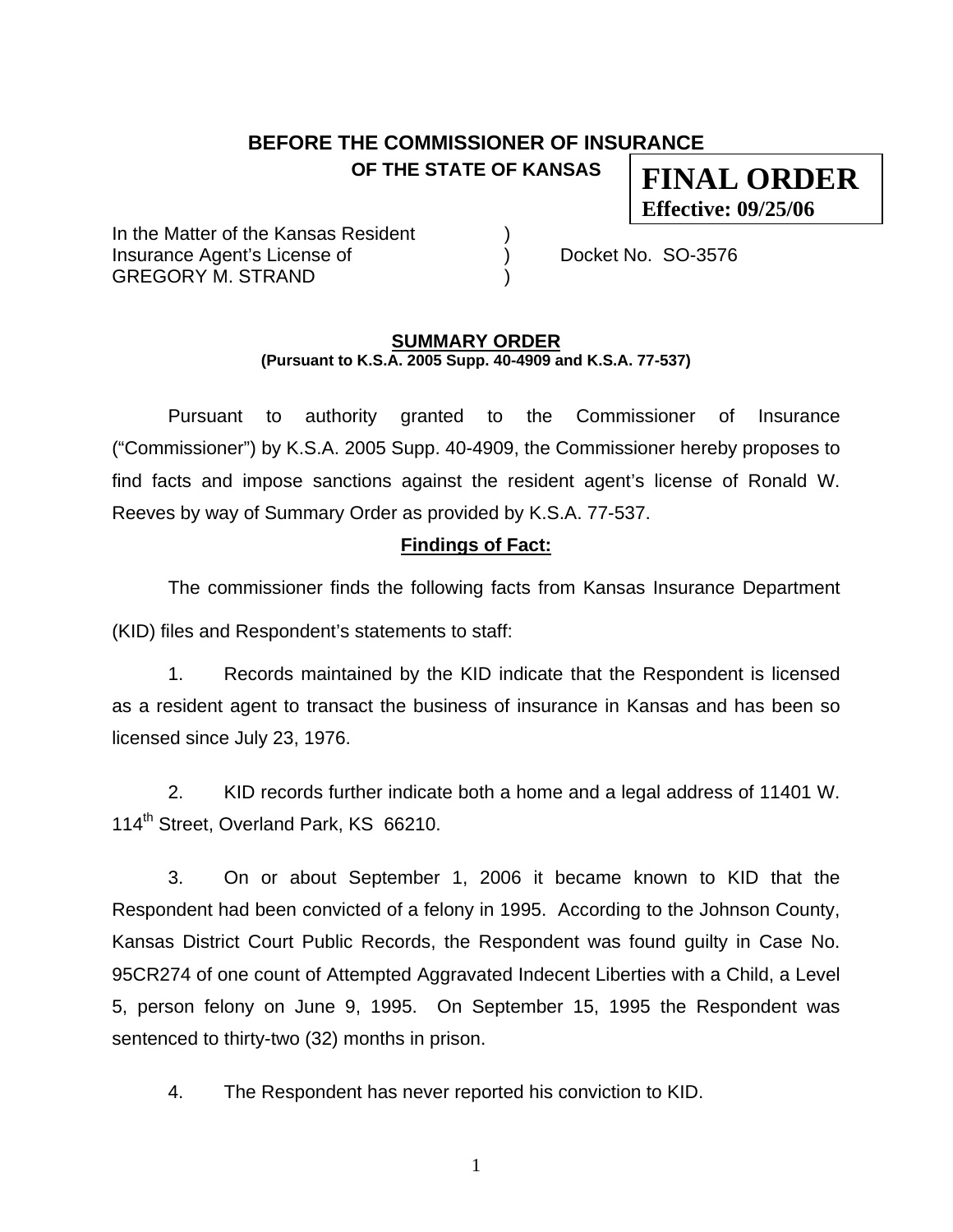## **BEFORE THE COMMISSIONER OF INSURANCE OF THE STATE OF KANSAS**

**FINAL ORDER Effective: 09/25/06**

In the Matter of the Kansas Resident Insurance Agent's License of (a) (b) Docket No. SO-3576 GREGORY M. STRAND )

#### **SUMMARY ORDER (Pursuant to K.S.A. 2005 Supp. 40-4909 and K.S.A. 77-537)**

 Pursuant to authority granted to the Commissioner of Insurance ("Commissioner") by K.S.A. 2005 Supp. 40-4909, the Commissioner hereby proposes to find facts and impose sanctions against the resident agent's license of Ronald W. Reeves by way of Summary Order as provided by K.S.A. 77-537.

### **Findings of Fact:**

 The commissioner finds the following facts from Kansas Insurance Department (KID) files and Respondent's statements to staff:

 1. Records maintained by the KID indicate that the Respondent is licensed as a resident agent to transact the business of insurance in Kansas and has been so licensed since July 23, 1976.

 2. KID records further indicate both a home and a legal address of 11401 W. 114<sup>th</sup> Street, Overland Park, KS 66210.

 3. On or about September 1, 2006 it became known to KID that the Respondent had been convicted of a felony in 1995. According to the Johnson County, Kansas District Court Public Records, the Respondent was found guilty in Case No. 95CR274 of one count of Attempted Aggravated Indecent Liberties with a Child, a Level 5, person felony on June 9, 1995. On September 15, 1995 the Respondent was sentenced to thirty-two (32) months in prison.

4. The Respondent has never reported his conviction to KID.

1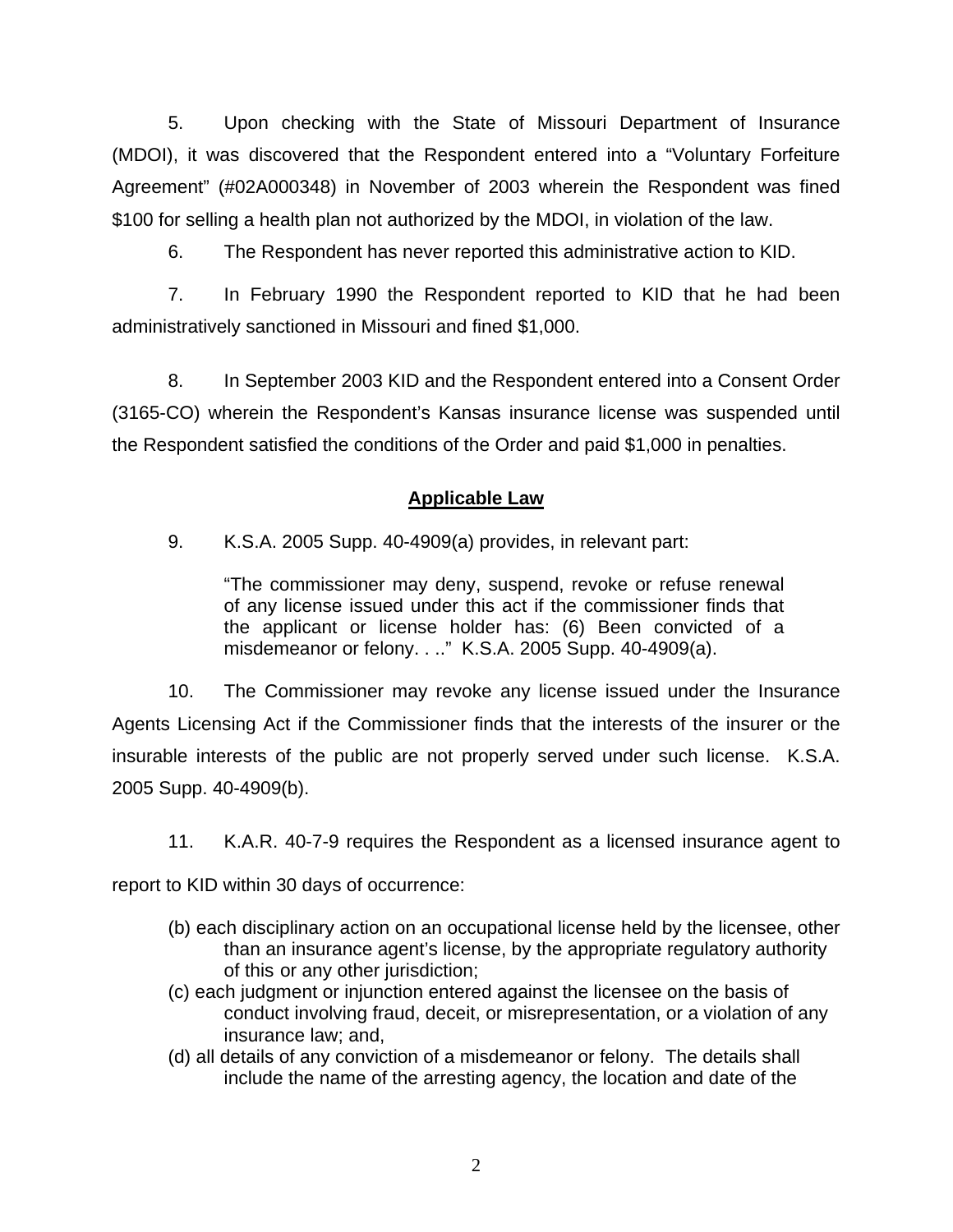5. Upon checking with the State of Missouri Department of Insurance (MDOI), it was discovered that the Respondent entered into a "Voluntary Forfeiture Agreement" (#02A000348) in November of 2003 wherein the Respondent was fined \$100 for selling a health plan not authorized by the MDOI, in violation of the law.

6. The Respondent has never reported this administrative action to KID.

 7. In February 1990 the Respondent reported to KID that he had been administratively sanctioned in Missouri and fined \$1,000.

 8. In September 2003 KID and the Respondent entered into a Consent Order (3165-CO) wherein the Respondent's Kansas insurance license was suspended until the Respondent satisfied the conditions of the Order and paid \$1,000 in penalties.

## **Applicable Law**

9. K.S.A. 2005 Supp. 40-4909(a) provides, in relevant part:

"The commissioner may deny, suspend, revoke or refuse renewal of any license issued under this act if the commissioner finds that the applicant or license holder has: (6) Been convicted of a misdemeanor or felony. . .." K.S.A. 2005 Supp. 40-4909(a).

 10. The Commissioner may revoke any license issued under the Insurance Agents Licensing Act if the Commissioner finds that the interests of the insurer or the insurable interests of the public are not properly served under such license. K.S.A. 2005 Supp. 40-4909(b).

11. K.A.R. 40-7-9 requires the Respondent as a licensed insurance agent to

report to KID within 30 days of occurrence:

- (b) each disciplinary action on an occupational license held by the licensee, other than an insurance agent's license, by the appropriate regulatory authority of this or any other jurisdiction;
- (c) each judgment or injunction entered against the licensee on the basis of conduct involving fraud, deceit, or misrepresentation, or a violation of any insurance law; and,
- (d) all details of any conviction of a misdemeanor or felony. The details shall include the name of the arresting agency, the location and date of the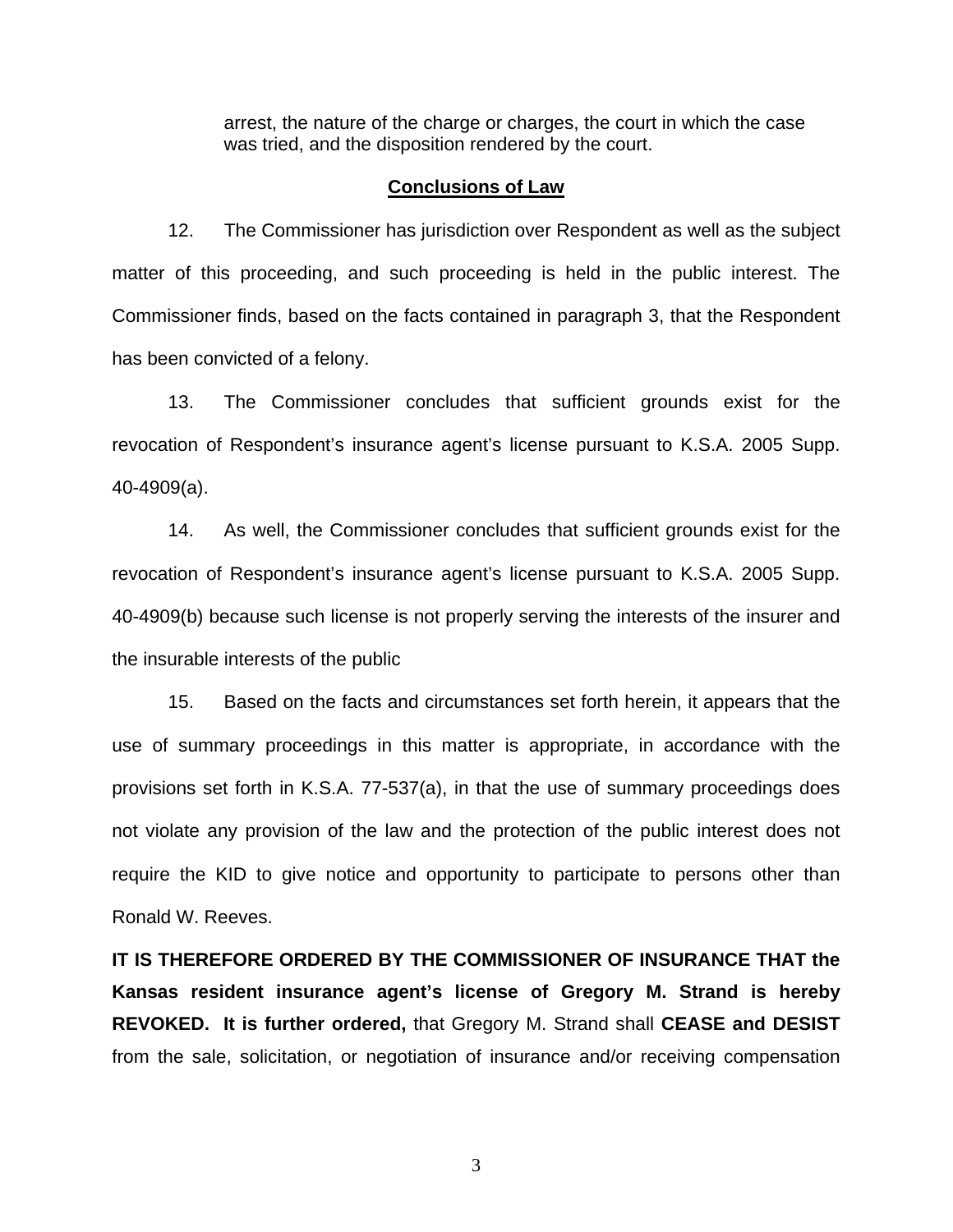arrest, the nature of the charge or charges, the court in which the case was tried, and the disposition rendered by the court.

#### **Conclusions of Law**

 12. The Commissioner has jurisdiction over Respondent as well as the subject matter of this proceeding, and such proceeding is held in the public interest. The Commissioner finds, based on the facts contained in paragraph 3, that the Respondent has been convicted of a felony.

 13. The Commissioner concludes that sufficient grounds exist for the revocation of Respondent's insurance agent's license pursuant to K.S.A. 2005 Supp. 40-4909(a).

 14. As well, the Commissioner concludes that sufficient grounds exist for the revocation of Respondent's insurance agent's license pursuant to K.S.A. 2005 Supp. 40-4909(b) because such license is not properly serving the interests of the insurer and the insurable interests of the public

 15. Based on the facts and circumstances set forth herein, it appears that the use of summary proceedings in this matter is appropriate, in accordance with the provisions set forth in K.S.A. 77-537(a), in that the use of summary proceedings does not violate any provision of the law and the protection of the public interest does not require the KID to give notice and opportunity to participate to persons other than Ronald W. Reeves.

**IT IS THEREFORE ORDERED BY THE COMMISSIONER OF INSURANCE THAT the Kansas resident insurance agent's license of Gregory M. Strand is hereby REVOKED. It is further ordered,** that Gregory M. Strand shall **CEASE and DESIST** from the sale, solicitation, or negotiation of insurance and/or receiving compensation

3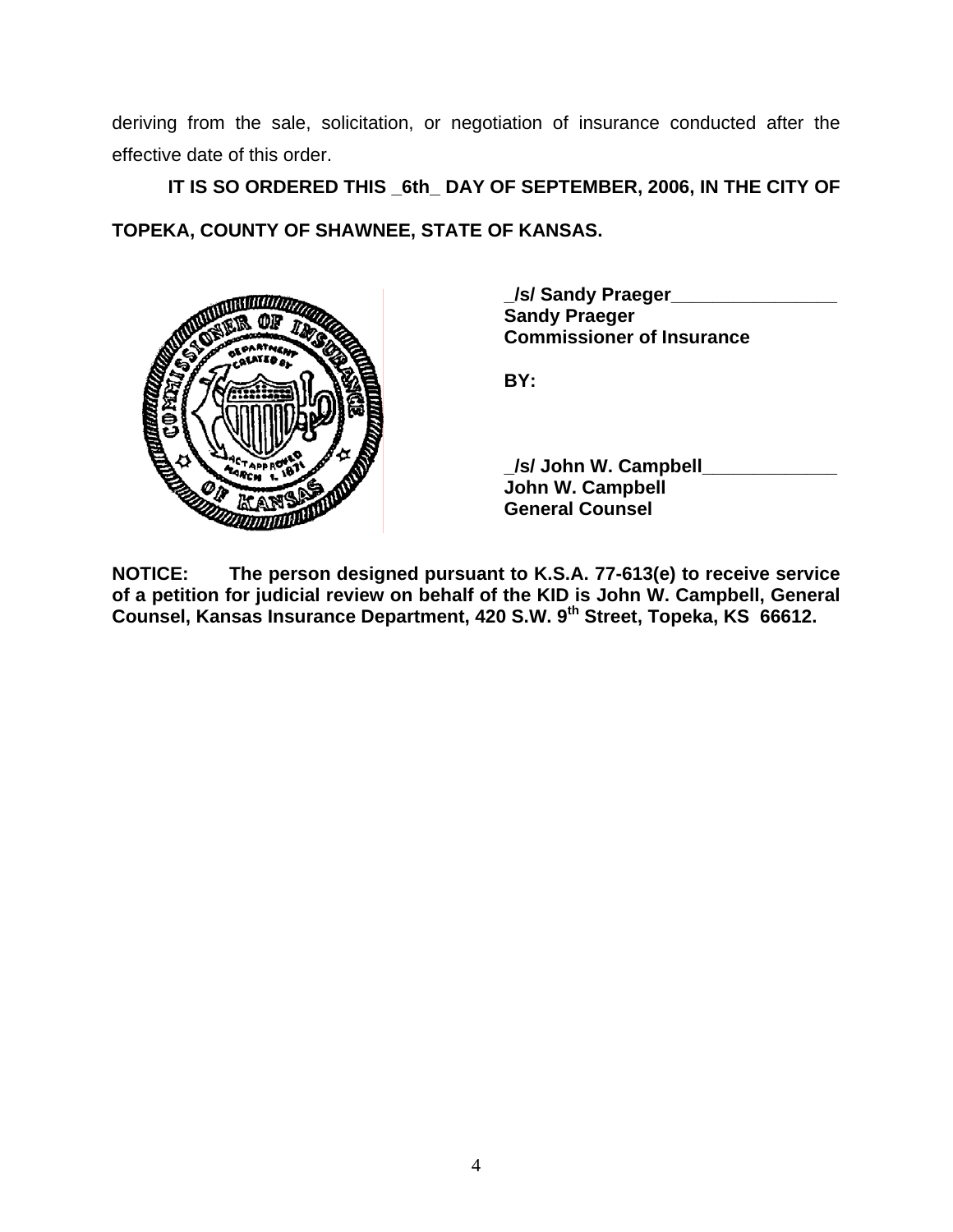deriving from the sale, solicitation, or negotiation of insurance conducted after the effective date of this order.

 **IT IS SO ORDERED THIS \_6th\_ DAY OF SEPTEMBER, 2006, IN THE CITY OF TOPEKA, COUNTY OF SHAWNEE, STATE OF KANSAS.** 



 **\_/s/ Sandy Praeger\_\_\_\_\_\_\_\_\_\_\_\_\_\_\_\_ Sandy Praeger Commissioner of Insurance** 

 **\_/s/ John W. Campbell\_\_\_\_\_\_\_\_\_\_\_\_\_ John W. Campbell General Counsel** 

**NOTICE: The person designed pursuant to K.S.A. 77-613(e) to receive service of a petition for judicial review on behalf of the KID is John W. Campbell, General Counsel, Kansas Insurance Department, 420 S.W. 9th Street, Topeka, KS 66612.**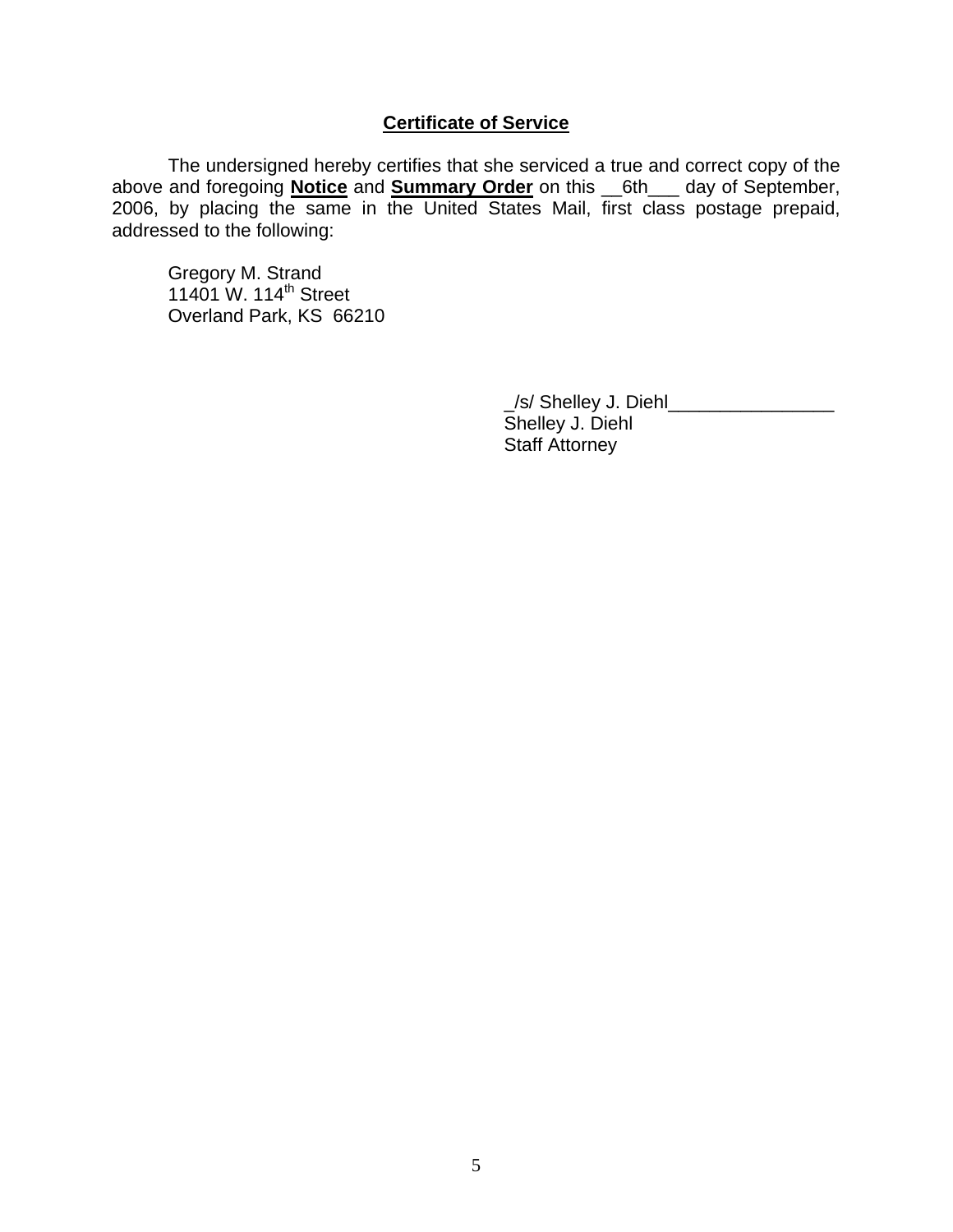### **Certificate of Service**

 The undersigned hereby certifies that she serviced a true and correct copy of the above and foregoing **Notice** and **Summary Order** on this \_\_6th\_\_\_ day of September, 2006, by placing the same in the United States Mail, first class postage prepaid, addressed to the following:

 Gregory M. Strand 11401 W. 114<sup>th</sup> Street Overland Park, KS 66210

> \_/s/ Shelley J. Diehl\_\_\_\_\_\_\_\_\_\_\_\_\_\_\_\_ Shelley J. Diehl Staff Attorney